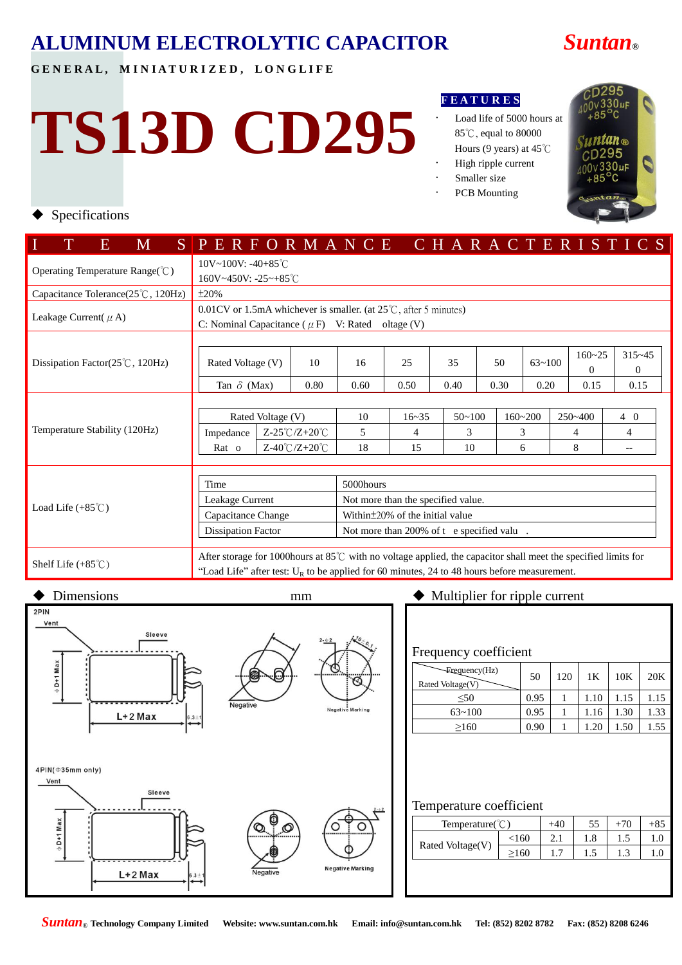**G E N E R A L , M I N I A T U R I Z E D , L O N G L I F E**

# **TS13D CD295**

#### **F E A T U R E S**

- Load life of 5000 hours at 85℃, equal to 80000 Hours (9 years) at 45℃
- High ripple current
- Smaller size
- PCB Mounting



#### Specifications

| $\mathbf{M}$<br>Е.                 | SPERFORMANCE CHARACTERISTICS                                                                                                                                                                                      |                                       |      |                                           |      |           |      |            |      |        |             |                   |                          |            |  |
|------------------------------------|-------------------------------------------------------------------------------------------------------------------------------------------------------------------------------------------------------------------|---------------------------------------|------|-------------------------------------------|------|-----------|------|------------|------|--------|-------------|-------------------|--------------------------|------------|--|
| Operating Temperature Range(°C)    | 10V~100V: -40+85°C                                                                                                                                                                                                |                                       |      |                                           |      |           |      |            |      |        |             |                   |                          |            |  |
|                                    | $160V - 450V$ : $-25 - +85^{\circ}$ C                                                                                                                                                                             |                                       |      |                                           |      |           |      |            |      |        |             |                   |                          |            |  |
| Capacitance Tolerance(25°C, 120Hz) | ±20%                                                                                                                                                                                                              |                                       |      |                                           |      |           |      |            |      |        |             |                   |                          |            |  |
| Leakage Current( $\mu$ A)          | $0.01$ CV or 1.5mA whichever is smaller. (at 25 $\degree$ C, after 5 minutes)                                                                                                                                     |                                       |      |                                           |      |           |      |            |      |        |             |                   |                          |            |  |
|                                    | C: Nominal Capacitance ( $\mu$ F) V: Rated oltage (V)                                                                                                                                                             |                                       |      |                                           |      |           |      |            |      |        |             |                   |                          |            |  |
|                                    |                                                                                                                                                                                                                   |                                       |      |                                           |      |           |      |            |      |        |             |                   |                          |            |  |
| Dissipation Factor(25°C, 120Hz)    |                                                                                                                                                                                                                   |                                       | 10   | 16                                        | 25   |           | 35   |            | 50   |        | $63 - 100$  | $160 - 25$        |                          | $315 - 45$ |  |
|                                    | Rated Voltage (V)                                                                                                                                                                                                 |                                       |      |                                           |      |           |      |            |      |        |             | $\Omega$          |                          | $\theta$   |  |
|                                    | Tan $\delta$ (Max)                                                                                                                                                                                                |                                       | 0.80 | 0.60                                      | 0.50 |           | 0.40 |            | 0.30 | 0.20   |             | 0.15              |                          | 0.15       |  |
|                                    |                                                                                                                                                                                                                   |                                       |      |                                           |      |           |      |            |      |        |             |                   |                          |            |  |
|                                    | Rated Voltage (V)                                                                                                                                                                                                 |                                       |      | 10                                        |      | $16 - 35$ |      | $50 - 100$ |      |        | $160 - 200$ |                   | $250 - 400$<br>$4\quad0$ |            |  |
| Temperature Stability (120Hz)      | $Z-25^{\circ}C/Z+20^{\circ}C$<br>Impedance                                                                                                                                                                        |                                       | 5    |                                           | 4    |           | 3    |            |      | 3<br>4 |             |                   | 4                        |            |  |
|                                    | $Z-40^{\circ}C/Z+20^{\circ}C$<br>$Rat$ o                                                                                                                                                                          |                                       | 18   |                                           | 15   | 10        |      | 8<br>6     |      |        |             | $\qquad \qquad -$ |                          |            |  |
|                                    |                                                                                                                                                                                                                   |                                       |      |                                           |      |           |      |            |      |        |             |                   |                          |            |  |
|                                    | Time                                                                                                                                                                                                              |                                       |      | 5000hours                                 |      |           |      |            |      |        |             |                   |                          |            |  |
|                                    | Leakage Current                                                                                                                                                                                                   |                                       |      | Not more than the specified value.        |      |           |      |            |      |        |             |                   |                          |            |  |
| Load Life $(+85^{\circ}$ C)        | Capacitance Change                                                                                                                                                                                                | Within $\pm$ 20% of the initial value |      |                                           |      |           |      |            |      |        |             |                   |                          |            |  |
|                                    | <b>Dissipation Factor</b>                                                                                                                                                                                         |                                       |      | Not more than 200% of t e specified valu. |      |           |      |            |      |        |             |                   |                          |            |  |
| Shelf Life $(+85^{\circ}\text{C})$ | After storage for 1000 hours at 85°C with no voltage applied, the capacitor shall meet the specified limits for<br>"Load Life" after test: $U_R$ to be applied for 60 minutes, 24 to 48 hours before measurement. |                                       |      |                                           |      |           |      |            |      |        |             |                   |                          |            |  |

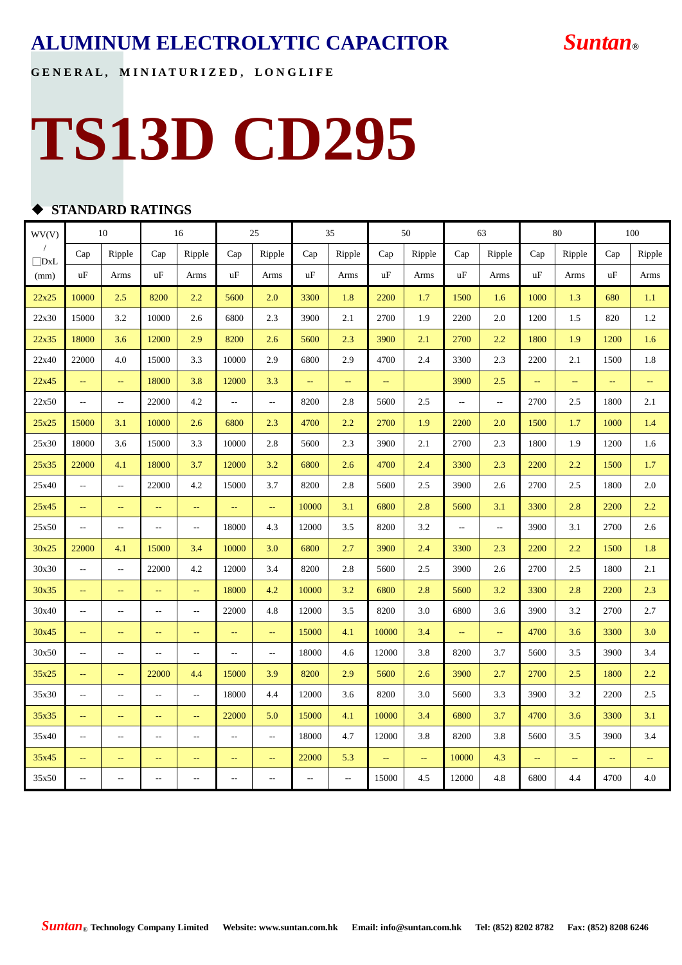**G E N E R A L , M I N I A T U R I Z E D , L O N G L I F E**

## **TS13D CD295**

#### **STANDARD RATINGS**

| WV(V) | 10                        |                          | 16                       |                          | 25                       |                          |                          | 35     |               | 50                      |                          | 63                       |               | 80                       |               | 100    |
|-------|---------------------------|--------------------------|--------------------------|--------------------------|--------------------------|--------------------------|--------------------------|--------|---------------|-------------------------|--------------------------|--------------------------|---------------|--------------------------|---------------|--------|
| DxL   | Cap                       | Ripple                   | Cap                      | Ripple                   | Cap                      | Ripple                   | Cap                      | Ripple | Cap           | Ripple                  | Cap                      | Ripple                   | Cap           | Ripple                   | Cap           | Ripple |
| (mm)  | uF                        | Arms                     | uF                       | Arms                     | uF                       | Arms                     | uF                       | Arms   | uF            | Arms                    | uF                       | Arms                     | uF            | Arms                     | uF            | Arms   |
| 22x25 | 10000                     | 2.5                      | 8200                     | 2.2                      | 5600                     | 2.0                      | 3300                     | 1.8    | 2200          | 1.7                     | 1500                     | 1.6                      | 1000          | 1.3                      | 680           | 1.1    |
| 22x30 | 15000                     | 3.2                      | 10000                    | 2.6                      | 6800                     | 2.3                      | 3900                     | 2.1    | 2700          | 1.9                     | 2200                     | 2.0                      | 1200          | 1.5                      | 820           | 1.2    |
| 22x35 | 18000                     | 3.6                      | 12000                    | 2.9                      | 8200                     | 2.6                      | 5600                     | 2.3    | 3900          | 2.1                     | 2700                     | 2.2                      | 1800          | 1.9                      | 1200          | 1.6    |
| 22x40 | 22000                     | 4.0                      | 15000                    | 3.3                      | 10000                    | 2.9                      | 6800                     | 2.9    | 4700          | 2.4                     | 3300                     | 2.3                      | 2200          | 2.1                      | 1500          | 1.8    |
| 22x45 | $\overline{\phantom{m}}$  | $\rightarrow$            | 18000                    | 3.8                      | 12000                    | 3.3                      | $\mathbb{L}_\mathbb{R}$  | μ.     | $\rightarrow$ |                         | 3900                     | 2.5                      | ц.            | $\overline{\phantom{a}}$ | $\rightarrow$ | 44     |
| 22x50 | $-$                       | $\overline{\phantom{a}}$ | 22000                    | 4.2                      | $\overline{\phantom{a}}$ | $\overline{\phantom{a}}$ | 8200                     | 2.8    | 5600          | 2.5                     | $\overline{\phantom{a}}$ | $\overline{\phantom{a}}$ | 2700          | 2.5                      | 1800          | 2.1    |
| 25x25 | 15000                     | 3.1                      | 10000                    | 2.6                      | 6800                     | 2.3                      | 4700                     | 2.2    | 2700          | 1.9                     | 2200                     | 2.0                      | 1500          | 1.7                      | 1000          | 1.4    |
| 25x30 | 18000                     | 3.6                      | 15000                    | 3.3                      | 10000                    | 2.8                      | 5600                     | 2.3    | 3900          | 2.1                     | 2700                     | 2.3                      | 1800          | 1.9                      | 1200          | 1.6    |
| 25x35 | 22000                     | 4.1                      | 18000                    | 3.7                      | 12000                    | 3.2                      | 6800                     | 2.6    | 4700          | 2.4                     | 3300                     | 2.3                      | 2200          | 2.2                      | 1500          | 1.7    |
| 25x40 | $\qquad \qquad -$         | $\overline{\phantom{a}}$ | 22000                    | 4.2                      | 15000                    | 3.7                      | 8200                     | 2.8    | 5600          | 2.5                     | 3900                     | 2.6                      | 2700          | 2.5                      | 1800          | 2.0    |
| 25x45 | $\rightarrow$             | $\mathbb{L} \mathbb{L}$  | ΞĒ                       | $\rightarrow$            | ω,                       | $\rightarrow$            | 10000                    | 3.1    | 6800          | 2.8                     | 5600                     | 3.1                      | 3300          | 2.8                      | 2200          | 2.2    |
| 25x50 | $\qquad \qquad -$         | $\sim$                   | $\overline{a}$           | $\sim$                   | 18000                    | 4.3                      | 12000                    | 3.5    | 8200          | 3.2                     | $\overline{\phantom{a}}$ | $\overline{\phantom{a}}$ | 3900          | 3.1                      | 2700          | 2.6    |
| 30x25 | 22000                     | 4.1                      | 15000                    | 3.4                      | 10000                    | 3.0                      | 6800                     | 2.7    | 3900          | 2.4                     | 3300                     | 2.3                      | 2200          | 2.2                      | 1500          | 1.8    |
| 30x30 | $\overline{\phantom{a}}$  | $\overline{\phantom{a}}$ | 22000                    | 4.2                      | 12000                    | 3.4                      | 8200                     | 2.8    | 5600          | 2.5                     | 3900                     | 2.6                      | 2700          | 2.5                      | 1800          | 2.1    |
| 30x35 | $\overline{\phantom{a}}$  | $\sim$                   | $\Box$                   | $\perp$                  | 18000                    | 4.2                      | 10000                    | 3.2    | 6800          | 2.8                     | 5600                     | 3.2                      | 3300          | 2.8                      | 2200          | 2.3    |
| 30x40 | $-$                       | $\overline{a}$           | $\overline{\phantom{a}}$ | $\sim$                   | 22000                    | 4.8                      | 12000                    | 3.5    | 8200          | 3.0                     | 6800                     | 3.6                      | 3900          | 3.2                      | 2700          | 2.7    |
| 30x45 | $\perp$ .                 | $\mathbb{L} \mathbb{L}$  | $\perp$ .                | $\sim$                   | $\overline{a}$           | $\perp$                  | 15000                    | 4.1    | 10000         | 3.4                     | $\omega_{\rm m}$         | u,                       | 4700          | 3.6                      | 3300          | 3.0    |
| 30x50 | --                        | $\qquad \qquad -$        | $\overline{\phantom{a}}$ | $\overline{\phantom{m}}$ | $\overline{\phantom{a}}$ | $\overline{\phantom{a}}$ | 18000                    | 4.6    | 12000         | 3.8                     | 8200                     | 3.7                      | 5600          | 3.5                      | 3900          | 3.4    |
| 35x25 | $\mathbb{L}^{\mathbb{L}}$ | $\Box$                   | 22000                    | 4.4                      | 15000                    | 3.9                      | 8200                     | 2.9    | 5600          | 2.6                     | 3900                     | 2.7                      | 2700          | 2.5                      | 1800          | 2.2    |
| 35x30 | $\overline{\phantom{a}}$  | $\overline{\phantom{a}}$ | $\overline{\phantom{a}}$ | $\sim$                   | 18000                    | 4.4                      | 12000                    | 3.6    | 8200          | 3.0                     | 5600                     | 3.3                      | 3900          | 3.2                      | 2200          | 2.5    |
| 35x35 | $-$                       | $\mathbb{L} \mathbb{L}$  | $\perp$ .                | $\perp$ .                | 22000                    | 5.0                      | 15000                    | 4.1    | 10000         | 3.4                     | 6800                     | 3.7                      | 4700          | 3.6                      | 3300          | 3.1    |
| 35x40 | $\overline{a}$            | $\overline{a}$           | $\overline{\phantom{a}}$ | $\overline{a}$           | $\overline{a}$           | $\overline{\phantom{a}}$ | 18000                    | 4.7    | 12000         | 3.8                     | 8200                     | 3.8                      | 5600          | 3.5                      | 3900          | 3.4    |
| 35x45 | 44                        | $\rightarrow$            | $\rightarrow$            | $\rightarrow$            | $\rightarrow$            | $\overline{\phantom{m}}$ | 22000                    | 5.3    | $\rightarrow$ | $\mathbb{L} \mathbb{L}$ | 10000                    | 4.3                      | $\rightarrow$ | $\rightarrow$            | 44            | 44     |
| 35x50 | $-$                       | $\sim$ $\sim$            | $\overline{a}$           | $\overline{a}$           | $\overline{a}$           | $\overline{a}$           | $\overline{\phantom{a}}$ | Ξ.     | 15000         | 4.5                     | 12000                    | 4.8                      | 6800          | 4.4                      | 4700          | 4.0    |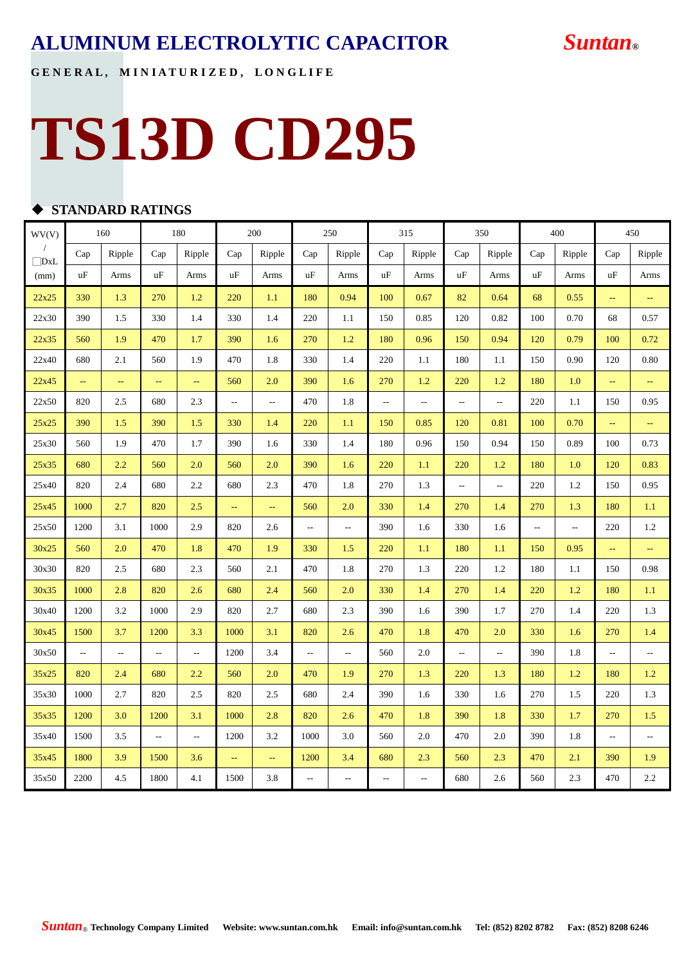**G E N E R A L , M I N I A T U R I Z E D , L O N G L I F E**

## **TS13D CD295**

#### **STANDARD RATINGS**

| WV(V)      |      | 160<br>180               |                          |                         |      | 200                     | 250                      |                          | 315                      |                          | 350                      |                          | 400                      |                          | 450       |                          |
|------------|------|--------------------------|--------------------------|-------------------------|------|-------------------------|--------------------------|--------------------------|--------------------------|--------------------------|--------------------------|--------------------------|--------------------------|--------------------------|-----------|--------------------------|
| $\Box$ DxL | Cap  | Ripple                   | Cap                      | Ripple                  | Cap  | Ripple                  | Cap                      | Ripple                   | Cap                      | Ripple                   | Cap                      | Ripple                   | Cap                      | Ripple                   | Cap       | Ripple                   |
| (mm)       | uF   | Arms                     | uF                       | Arms                    | uF   | Arms                    | uF                       | Arms                     | uF                       | Arms                     | uF                       | Arms                     | uF                       | Arms                     | uF        | Arms                     |
| 22x25      | 330  | 1.3                      | 270                      | 1.2                     | 220  | 1.1                     | 180                      | 0.94                     | 100                      | 0.67                     | 82                       | 0.64                     | 68                       | 0.55                     | 44        | μ.                       |
| 22x30      | 390  | 1.5                      | 330                      | 1.4                     | 330  | 1.4                     | 220                      | 1.1                      | 150                      | 0.85                     | 120                      | 0.82                     | 100                      | 0.70                     | 68        | 0.57                     |
| 22x35      | 560  | 1.9                      | 470                      | 1.7                     | 390  | 1.6                     | 270                      | 1.2                      | 180                      | 0.96                     | 150                      | 0.94                     | 120                      | 0.79                     | 100       | 0.72                     |
| 22x40      | 680  | 2.1                      | 560                      | 1.9                     | 470  | 1.8                     | 330                      | 1.4                      | 220                      | 1.1                      | 180                      | 1.1                      | 150                      | 0.90                     | 120       | 0.80                     |
| 22x45      | 44   | $\mathbb{L}_\mathbb{R}$  | 44                       | $\mathbb{L} \mathbb{L}$ | 560  | 2.0                     | 390                      | 1.6                      | 270                      | 1.2                      | 220                      | 1.2                      | 180                      | 1.0                      | ÷,        | 44                       |
| 22x50      | 820  | 2.5                      | 680                      | 2.3                     | ٠.   | --                      | 470                      | 1.8                      | ٠.                       | $\overline{\phantom{a}}$ | ٠.                       | $\overline{\phantom{a}}$ | 220                      | 1.1                      | 150       | 0.95                     |
| 25x25      | 390  | 1.5                      | 390                      | 1.5                     | 330  | 1.4                     | 220                      | 1.1                      | 150                      | 0.85                     | 120                      | 0.81                     | 100                      | 0.70                     | 44        | μ,                       |
| 25x30      | 560  | 1.9                      | 470                      | 1.7                     | 390  | 1.6                     | 330                      | 1.4                      | 180                      | 0.96                     | 150                      | 0.94                     | 150                      | 0.89                     | 100       | 0.73                     |
| 25x35      | 680  | 2.2                      | 560                      | 2.0                     | 560  | 2.0                     | 390                      | 1.6                      | 220                      | 1.1                      | 220                      | 1.2                      | 180                      | 1.0                      | 120       | 0.83                     |
| 25x40      | 820  | 2.4                      | 680                      | 2.2                     | 680  | 2.3                     | 470                      | 1.8                      | 270                      | 1.3                      | ٠.                       | $\overline{\phantom{a}}$ | 220                      | 1.2                      | 150       | 0.95                     |
| 25x45      | 1000 | 2.7                      | 820                      | 2.5                     | ω,   | $\omega_{\rm m}$        | 560                      | 2.0                      | 330                      | 1.4                      | 270                      | 1.4                      | 270                      | 1.3                      | 180       | 1.1                      |
| 25x50      | 1200 | 3.1                      | 1000                     | 2.9                     | 820  | 2.6                     | $\overline{\phantom{a}}$ | $\overline{\phantom{a}}$ | 390                      | 1.6                      | 330                      | 1.6                      | $\overline{\phantom{a}}$ | $\overline{\phantom{a}}$ | 220       | 1.2                      |
| 30x25      | 560  | 2.0                      | 470                      | 1.8                     | 470  | 1.9                     | 330                      | 1.5                      | 220                      | 1.1                      | 180                      | 1.1                      | 150                      | 0.95                     | $\perp$ . | u.                       |
| 30x30      | 820  | 2.5                      | 680                      | 2.3                     | 560  | 2.1                     | 470                      | 1.8                      | 270                      | 1.3                      | 220                      | 1.2                      | 180                      | 1.1                      | 150       | 0.98                     |
| 30x35      | 1000 | 2.8                      | 820                      | 2.6                     | 680  | 2.4                     | 560                      | 2.0                      | 330                      | 1.4                      | 270                      | 1.4                      | 220                      | 1.2                      | 180       | 1.1                      |
| 30x40      | 1200 | 3.2                      | 1000                     | 2.9                     | 820  | 2.7                     | 680                      | 2.3                      | 390                      | 1.6                      | 390                      | 1.7                      | 270                      | 1.4                      | 220       | 1.3                      |
| 30x45      | 1500 | 3.7                      | 1200                     | 3.3                     | 1000 | 3.1                     | 820                      | 2.6                      | 470                      | 1.8                      | 470                      | 2.0                      | 330                      | 1.6                      | 270       | 1.4                      |
| 30x50      | ٠.   | $\overline{\phantom{a}}$ | $\overline{\phantom{a}}$ | $\sim$                  | 1200 | 3.4                     | $\overline{\phantom{a}}$ | $\overline{\phantom{a}}$ | 560                      | 2.0                      | $\overline{\phantom{a}}$ | $\overline{\phantom{a}}$ | 390                      | 1.8                      | ۰.        | ۰.                       |
| 35x25      | 820  | 2.4                      | 680                      | 2.2                     | 560  | 2.0                     | 470                      | 1.9                      | 270                      | 1.3                      | 220                      | 1.3                      | 180                      | 1.2                      | 180       | 1.2                      |
| 35x30      | 1000 | 2.7                      | 820                      | 2.5                     | 820  | 2.5                     | 680                      | 2.4                      | 390                      | 1.6                      | 330                      | 1.6                      | 270                      | 1.5                      | 220       | 1.3                      |
| 35x35      | 1200 | 3.0                      | 1200                     | 3.1                     | 1000 | 2.8                     | 820                      | 2.6                      | 470                      | 1.8                      | 390                      | 1.8                      | 330                      | 1.7                      | 270       | 1.5                      |
| 35x40      | 1500 | 3.5                      | $\overline{\phantom{a}}$ | $\overline{a}$          | 1200 | 3.2                     | 1000                     | 3.0                      | 560                      | 2.0                      | 470                      | 2.0                      | 390                      | 1.8                      | ٠.        | $\overline{\phantom{a}}$ |
| 35x45      | 1800 | 3.9                      | 1500                     | 3.6                     | μ.   | $\mathbb{L}_\mathbb{R}$ | 1200                     | 3.4                      | 680                      | 2.3                      | 560                      | 2.3                      | 470                      | 2.1                      | 390       | 1.9                      |
| 35x50      | 2200 | 4.5                      | 1800                     | 4.1                     | 1500 | 3.8                     | $\overline{\phantom{a}}$ | --                       | $\overline{\phantom{a}}$ | Ξ.                       | 680                      | 2.6                      | 560                      | 2.3                      | 470       | 2.2                      |